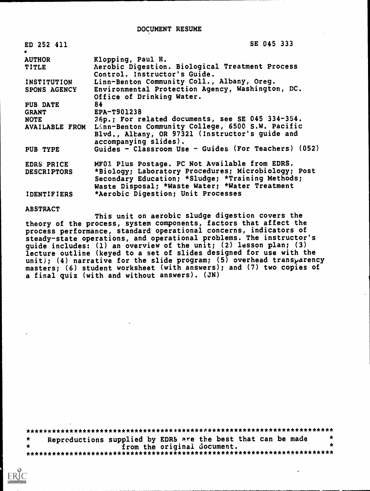| ED 252 411<br>$\bullet$ | SE 045 333                                                                                                                                                |
|-------------------------|-----------------------------------------------------------------------------------------------------------------------------------------------------------|
| <b>AUTHOR</b>           | Klopping, Paul H.                                                                                                                                         |
| TITLE                   | Aerobic Digestion. Biological Treatment Process<br>Control. Instructor's Guide.                                                                           |
| INSTITUTION             | Linn-Benton Community Coll., Albany, Oreg.                                                                                                                |
| SPONS AGENCY            | Environmental Protection Agency, Washington, DC.<br>Office of Drinking Water.                                                                             |
| PUB DATE                | 84                                                                                                                                                        |
| <b>GRANT</b>            | EPA-T901238                                                                                                                                               |
| <b>NOTE</b>             | 26p.; For related documents, see SE 045 334-354.                                                                                                          |
|                         | AVAILABLE FROM Linn-Benton Community College, 6500 S.W. Pacific<br>Blvd., Albany, OR 97321 (Instructor's guide and<br>accompanying slides).               |
| PUB TYPE                | Guides - Classroom Use - Guides (For Teachers) (052)                                                                                                      |
| EDRS PRICE              | MF01 Plus Postage. PC Not Available from EDRS.                                                                                                            |
| <b>DESCRIPTORS</b>      | *Biology; Laboratory Procedures; Microbiology; Post<br>Secondary Education; *Sludge; *Training Methods;<br>Waste Disposal; *Waste Water; *Water Treatment |
| <b>IDENTIFIERS</b>      | *Aerobic Digestion; Unit Processes                                                                                                                        |

**ABSTRACT** 

This unit on aerobic sludge digestion covers the theory of the process, system components, factors that affect the process performance, standard operational concerns, indicators of steady-state operations, and operational problems. The instructor's guide includes: (1) an overview of the unit; (2) lesson plan; (3)<br>lecture outline (keyed to a set of slides designed for use with the unit); (4) narrative for the slide program; (5) overhead transparency masters; (6) student worksheet (with answers); and (7) two copies of a final quiz (with and without answers). (JN)

Repreductions supplied by EDRS are the best that can be made from the original document.  $\bullet$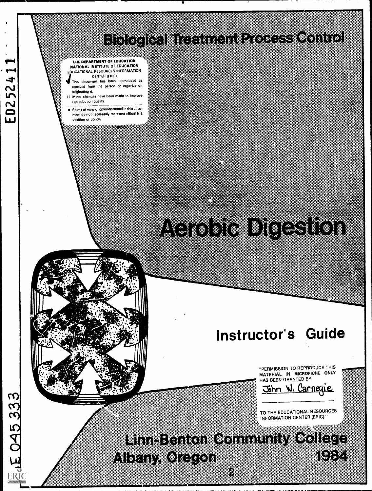# 

#### U.S. DEPARTMENT OF EDUCATION NATIONAL INSTITUTE OF EDUCATION EDUCATIONAL RESOURCES INFORMATION CENTER (ERIC,

- This document has been reproduced as received from the person or organization originating it.
- I I Minor changes have been made to improve reproduction quality.
- Points of view or opinions stated in this documeat do not necessarily represent official NM position or policy.

# <u> Alexandria (Carolina de Carolina de Carolina de Carolina de Carolina de Carolina de Carolina de Carolina de </u>

# **Instructor's Guide**

"PERMISSION TO REPRODUCE THIS MATERIAL IN MICROFICHE ONLY HAS BEEN GRANTED BY



TO THE EDUCATIONAL RESOURCES INFORMATION CENTER (ERIC)."

<u> Enischten General (von der Ste</u> ESTE NI ELIN KOLEKSI

▩

**ED25241**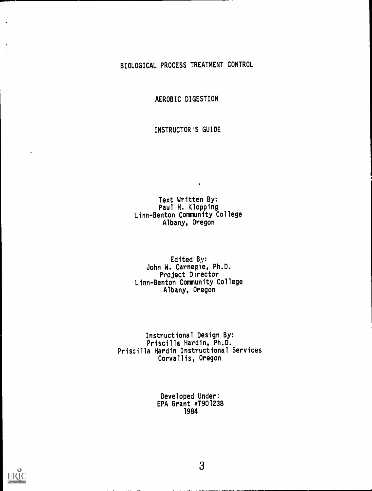### BIOLOGICAL PROCESS TREATMENT CONTROL

AEROBIC DIGESTION

INSTRUCTOR'S GUIDE

Text Written By: Paul H. Klopping Linn-Benton Community College Albany, Oregon

Edited By: John W. Carnegie, Ph.D. Project Director Linn-Benton Community College Albany, Oregon

Instructional Design By: Priscilla Hardin, Ph.D. Priscilla Hardin Instructional Services Corvallis, Oregon

> Developed Under: EPA Grant #T901238 1984

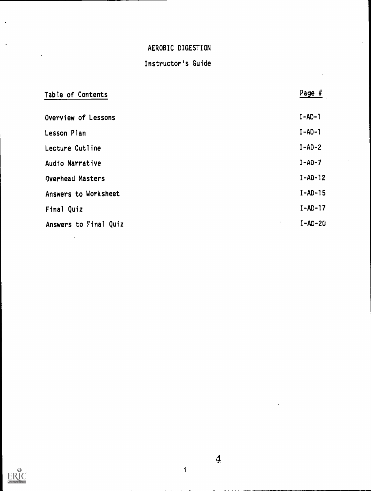# Instructor's Guide

| Table of Contents     | Page $#$               |
|-----------------------|------------------------|
| Overview of Lessons   | $I - AD - I$           |
| Lesson Plan           | $I - AD - 1$           |
| Lecture Outline       | $I-AD-2$               |
| Audio Narrative       | $I-AD-7$               |
| Overhead Masters      | $I-AD-12$              |
| Answers to Worksheet  | $I-AD-15$              |
| Final Quiz            | $I-AD-17$              |
| Answers to Final Quiz | $I-AD-20$<br>$\bullet$ |
|                       |                        |



 $\ddot{\phantom{a}}$ 

 $\ddot{\phantom{a}}$  $\sim$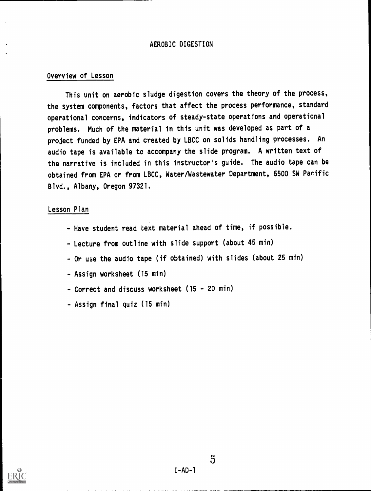#### Overview of Lesson

This unit on aerobic sludge digestion covers the theory of the process, the system components, factors that affect the process performance, standard operational concerns, indicators of steady-state operations and operational problems. Much of the material in this unit was developed as part of a project funded by EPA and created by LBCC on solids handling processes. An audio tape is available to accompany the slide program. A written text of the narrative is included in this instructor's guide. The audio tape can be obtained from EPA or from LBCC, Water/Wastewater Department, 6500 SW Pacific Blvd., Albany, Oregon 97321.

#### Lesson Plan

- Have student read text material ahead of time, if possible.
- Lecture from outline with slide support (about 45 min)
- Or use the audio tape (if obtained) with slides (about 25 min)
- Assign worksheet (15 min)
- Correct and discuss worksheet (15 20 min)
- Assign final quiz (15 min)



#### $I - AD - 1$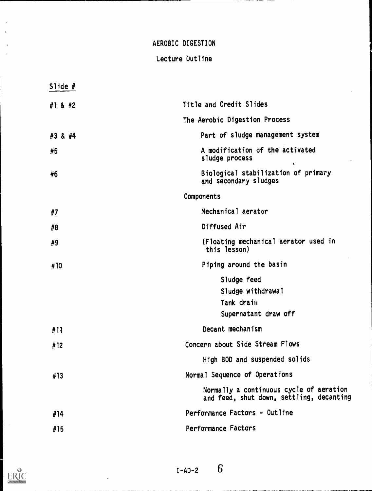## Lecture Outline

| Slide $#$ |                                                                                     |
|-----------|-------------------------------------------------------------------------------------|
| #1 & #2   | Title and Credit Slides                                                             |
|           | The Aerobic Digestion Process                                                       |
| #3 & #4   | Part of sludge management system                                                    |
| #5        | A modification of the activated<br>sludge process                                   |
| #6        | Biological stabilization of primary<br>and secondary sludges                        |
|           | Components                                                                          |
| #7        | Mechanical aerator                                                                  |
| #8        | Diffused Air                                                                        |
| #9        | (Floating mechanical aerator used in<br>this lesson)                                |
| #10       | Piping around the basin                                                             |
|           | Sludge feed                                                                         |
|           | Sludge withdrawal                                                                   |
|           | Tank drain                                                                          |
|           | Supernatant draw off                                                                |
| #11       | Decant mechanism                                                                    |
| #12       | Concern about Side Stream Flows                                                     |
|           | High BOD and suspended solids                                                       |
| #13       | Normal Sequence of Operations                                                       |
|           | Normally a continuous cycle of aeration<br>and feed, shut down, settling, decanting |
| #14       | Performance Factors - Outline                                                       |
| #15       | Performance Factors                                                                 |
|           |                                                                                     |

ERIC

 $\ddot{\phantom{1}}$  $\ddot{\phantom{a}}$ 

> $\ddot{\phantom{0}}$  $\ddot{\phantom{a}}$

 $\ddot{\phantom{1}}$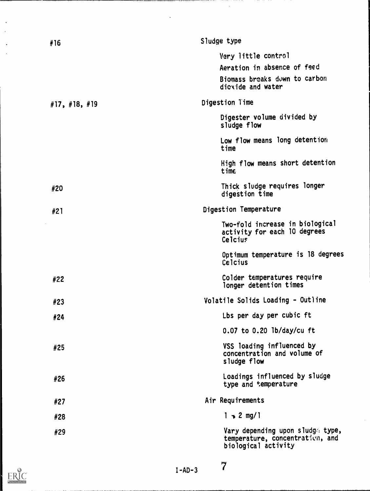| #16                       | Sludge type                                                                                |
|---------------------------|--------------------------------------------------------------------------------------------|
|                           | Very little control                                                                        |
|                           | Aeration in absence of feed                                                                |
|                           | Biomass breaks down to carbon<br>dicyide and water                                         |
| $\#$ 17, $\#$ 18, $\#$ 19 | Digestion Time                                                                             |
|                           | Digester volume divided by<br>sludge flow                                                  |
|                           | Low flow means long detention<br>time                                                      |
|                           | High flow means short detention<br>time                                                    |
| #20                       | Thick sludge requires longer<br>digestion time                                             |
| #21                       | Digestion Temperature                                                                      |
|                           | Two-fold increase in biological<br>activity for each 10 degrees<br>Celcius                 |
|                           | Optimum temperature is 18 degrees<br>Celcius                                               |
| #22                       | Colder temperatures require<br>longer detention times                                      |
| #23                       | Volatile Solids Loading - Outline                                                          |
| #24                       | Lbs per day per cubic ft                                                                   |
|                           | $0.07$ to $0.20$ lb/day/cu ft                                                              |
| #25                       | VSS loading influenced by<br>concentration and volume of<br>sludge flow                    |
| #26                       | Loadings influenced by sludge<br>type and temperature                                      |
| #27                       | Air Requirements                                                                           |
| #28                       | $1 - 2$ mg/1                                                                               |
| #29                       | Vary depending upon sludge type,<br>temperature, concentration, and<br>biological activity |

 $\bar{\alpha}$ 

 $\ddot{\phantom{a}}$ 

 $ER_{\text{acc}_{\text{vector}}}^{\text{O}}$ 

 $\ddot{\phantom{a}}$ 

I-AD-3

 $\overline{7}$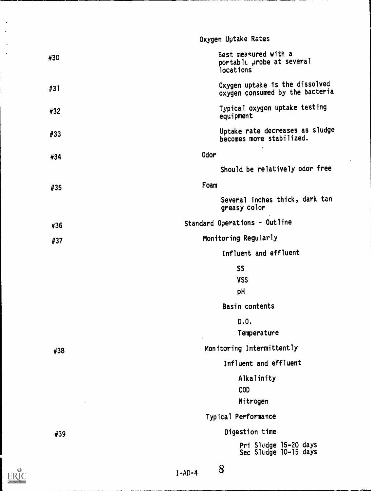|              | Oxygen Uptake Rates                                               |
|--------------|-------------------------------------------------------------------|
| #30          | Best measured with a<br>portable probe at several<br>locations    |
| #31          | Oxygen uptake is the dissolved<br>oxygen consumed by the bacteria |
| #32          | Typical oxygen uptake testing<br>equipment                        |
| #33          | Uptake rate decreases as sludge<br>becomes more stabilized.       |
| #34          | $\ell_{\rm h}^{\rm s}$<br>Odor                                    |
|              | Should be relatively odor free                                    |
| #35          | Foam                                                              |
|              | Several inches thick, dark tan<br>greasy color                    |
| #36          | Standard Operations - Outline                                     |
| #37          | Monitoring Regularly                                              |
|              | Influent and effluent                                             |
|              | <b>SS</b>                                                         |
|              | <b>VSS</b><br>рH                                                  |
|              | Basin contents                                                    |
|              | D.0.                                                              |
|              | Temperature                                                       |
| #38          | Monitoring Intermittently                                         |
|              | Influent and effluent                                             |
|              | Alkalinity                                                        |
|              | <b>COD</b>                                                        |
|              | Nitrogen                                                          |
|              | Typical Performance                                               |
| #39          | Digestion time                                                    |
|              | Pri Sludge 15-20 days<br>Sec Sludge 10-15 days                    |
| $T = AD = A$ | 8                                                                 |

 $\sum_{\mathcal{A}_{\text{full test. Prodd}}}\begin{matrix}\mathbf{C}\\\mathbf{C}\end{matrix}$ 

 $\ddot{\phantom{a}}$ 

 $1 - A1 - 4$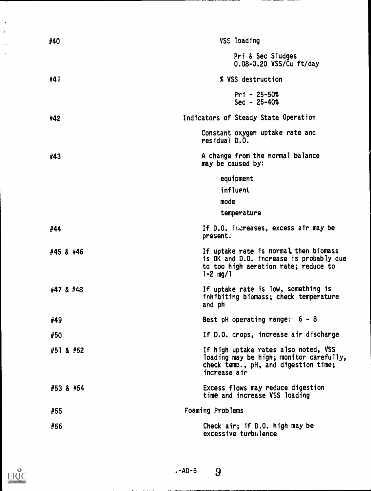| #40       | <b>VSS</b> loading                                                                                                                        |
|-----------|-------------------------------------------------------------------------------------------------------------------------------------------|
|           | Pri & Sec Sludges<br>0.08-0.20 VSS/Cu ft/day                                                                                              |
| #41       | % VSS destruction                                                                                                                         |
|           | $Pri - 25-50%$<br>$Sec - 25 - 40%$                                                                                                        |
| #42       | Indicators of Steady State Operation                                                                                                      |
|           | Constant oxygen uptake rate and<br>residual D.O.                                                                                          |
| #43       | A change from the normal balance<br>may be caused by:                                                                                     |
|           | equipment                                                                                                                                 |
|           | influent                                                                                                                                  |
|           | mode<br>temperature                                                                                                                       |
|           |                                                                                                                                           |
| #44       | If D.O. increases, excess air may be<br>present.                                                                                          |
| #45 & #46 | If uptake rate is normal, then biomass<br>is OK and D.O. increase is probably due<br>to too high aeration rate; reduce to<br>$1 - 2$ mg/1 |
| #47 & #48 | If uptake rate is low, something is<br>inhibiting biomass; check temperature<br>and ph                                                    |
| #49       | Best pH operating range: $6 - 8$                                                                                                          |
| #50       | If D.O. drops, increase air discharge                                                                                                     |
| #51 & #52 | If high uptake rates also noted, VSS<br>loading may be high; monitor carefully,<br>check temp., pH, and digestion time;<br>increase air   |
| #53 & #54 | Excess flows may reduce digestion<br>time and increase VSS loading                                                                        |
| #55       | Foaming Problems                                                                                                                          |
| #56       | Check air; if D.O. high may be<br>excessive turbulence                                                                                    |

 $\bar{\phantom{a}}$  $\ddot{\phantom{0}}$ 

> $\ddot{\phantom{1}}$  $\ddot{\phantom{0}}$

 $\sim$ 

 $\angle$ -AD-5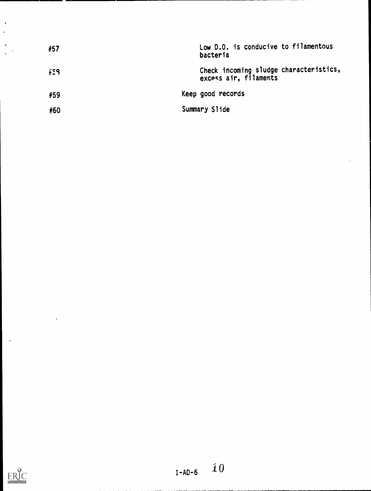| #57 | Low D.O. is conducive to filamentous<br>bacteria                |
|-----|-----------------------------------------------------------------|
| #59 | Check incoming sludge characteristics,<br>excess air, filaments |
| #59 | Keep good records                                               |
| #60 | Summary Slide                                                   |



 $\mathcal{L}_{\mathcal{A}}$ 

 $\cdot$ 

 $\frac{1}{2}$ 

 $\ddot{\cdot}$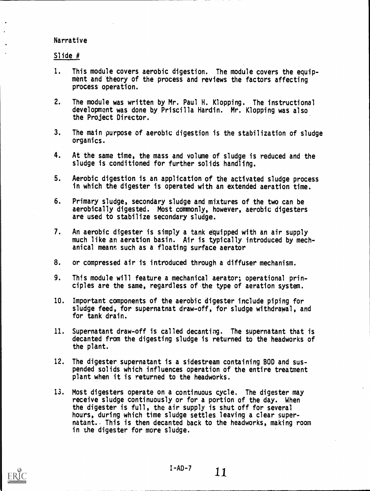#### Narrative

#### Slide #

- 1. This module covers aerobic digestion. The module covers the equipment and theory of the process and reviews the factors affecting process operation.
- 2. The module was written by Mr. Paul H. Klopping. The instructional development was done by Priscilla Hardin. Mr. Klopping was also the Project Director.
- 3. The main purpose of aerobic digestion is the stabilization of sludge organics.
- 4. At the same time, the mass and volume of sludge is reduced and the sludge is conditioned for further solids handling.
- 5. Aerobic digestion is an application of the activated sludge process in which the digester is operated with an extended aeration time.
- 6. Primary sludge, secondary sludge and mixtures of the two can be aerobically digested. Most commonly, however, aerobic digesters are used to stabilize secondary sludge.
- 7. An aerobic digester is simply a tank equipped with an air supply much like an aeration basin. Air is typically introduced by mechanical means such as a floating surface aerator
- 8. or compressed air is introduced through a diffuser mechanism.
- 9. This module will feature a mechanical aerator; operational principles are the same, regardless of the type of aeration system.
- 10. Important components of the aerobic digester include piping for sludge feed, for supernatnat draw-off, for sludge withdrawal, and for tank drain.
- 11. Supernatant draw-off is called decanting. The supernatant that is decanted from the digesting sludge is returned to the headworks of the plant.
- 12. The digester supernatant is a sidestream containing BOD and suspended solids which influences operation of the entire treatment plant when it is returned to the headworks.
- 13. Most digesters operate on a continuous cycle. The digester may receive sludge continuously or for a portion of the day. When the digester is full, the air supply is shut off for several hours, during which time sludge settles leaving a clear supernatant.. This is then decanted back to the headworks, making room in the digester for more sludge.

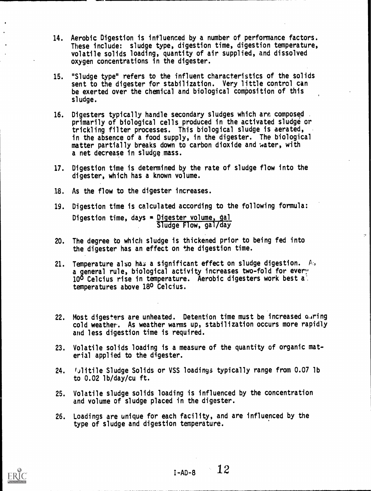- 14. Aerobic Digestion is influenced by a number of performance factors. These include: sludge type, digestion time, digestion temperature, volatile solids loading, quantity of air supplied, and dissolved oxygen concentrations in the digester.
- 15. "Sludge type" refers to the influent characteristics of the solids sent to the digester for stabilization. Very little control can be exerted over the chemical and biological composition of this sludge.
- 16. Digesters typically handle secondary sludges which are composed primarily of biological cells produced in the activated sludge or trickling filter processes. This biological sludge is aerated, in the absence of a food supply, in the digester. The biological matter partially breaks down to carbon dioxide and water, with a net decrease in sludge mass.
- 17. Digestion time is determined by the rate of sludge flow into the digester, which has a known volume.
- 18. As the flow to the digester increases.
- 19. Digestion time is calculated accordipg to the following formula: Digestion time, days  $=$  Digester volume, gal Sludge Flow, gal/day
- 20. The degree to which sludge is thickened prior to being fed into the digester has an effect on the digestion time.
- 21. Temperature also has a significant effect on sludge digestion. A, a general rule, biological activity increases two-fold for every 100 Celcius rise in temperature. Aerobic digesters work best a' temperatures above 180 Celcius.
- 22. Most digesters are unheated. Detention time must be increased  $\alpha_4$ ring cold weather. As weather warms up, stabilization occurs more rapidly and less digestion time is required.
- 23. Volatile solids loading is a measure of the quantity of organic material applied to the digester.
- 24. Mulitile Sludge Solids or VSS loadings typically range from 0.07 lb to 0.02 lb/day/cu ft.
- 25. Volatile sludge solids loading is influenced by the concentration and volume of sludge placed in the digester.
- 26. Loadings are unique for each facility, and are influenced by the type of sludge and digestion temperature.



 $I-AD-B$  12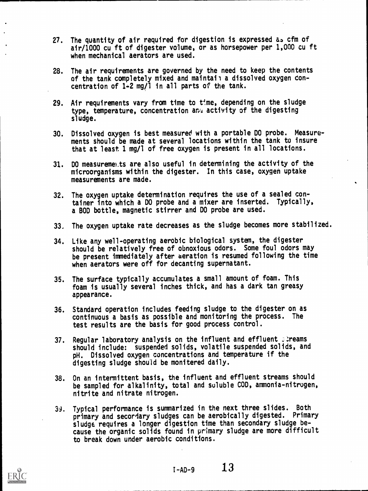- 27. The quantity of air required for digestion is expressed as cfm of air/1000 cu ft of digester volume, or as horsepower per 1,000 cu ft when mechanical aerators are used.
- 28. The air requirements are governed by the need to keep the contents of the tank completely mixed and maintain a dissolved oxygen concentration of 1-2 mg/1 in all parts of the tank.
- 29. Air requirements vary from time to  $t^m$ , depending on the sludge type, temperature, concentration any activity of the digesting sludge.
- 30. Dissolved oxygen is best measured with a portable DO probe. Measurements should be made at several locations within the tank to insure that at least 1 mg/1 of free oxygen is present in all locations.
- 31. DO measurements are also useful in determining the activity of the microorganisms within the digester. In this case, oxygen uptake measurements are made.
- 32. The oxygen uptake determination requires the use of a sealed container into which a DO probe and a mixer are inserted. Typically, a BOD bottle, magnetic stirrer and DO probe are used.
- 33. The oxygen uptake rate decreases as the sludge becomes more stabilized.
- 34. Like any well-operating aerobic biological system, the digester should be relatively free of obnoxious odors. Some foul odors may be present immediately after aeration is resumed following the time when aerators were off for decanting supernatant.
- 35. The surface typically accumulates a small amount of foam. This foam is usually several inches thick, and has a dark tan greasy appearance.
- 36. Standard operation includes feeding sludge to the digester on as continuous a basis as possible and monitoring the process. The test results are the basis for good process control.
- 37. Regular laboratory analysis on the influent and effluent . treams should include: suspended solids, volatile suspended solids, and pH. Dissolved oxygen concentrations and temperature if the digesting sludge should be monitered daily.
- 38. On an intermittent basis, the influent and effluent streams should be sampled for alkalinity, total and soluble COD, ammonia-nitrogen, nitrite and nitrate nitrogen.
- 39. Typical performance is summarized in the next three slides. Both primary and secordary sludges can be aerobically digested. Primary sludge requires a longer digestion time than secondary sludge because the organic solids found in primary sludge are more difficult to break down under aerobic conditions.



 $I - AD - 9$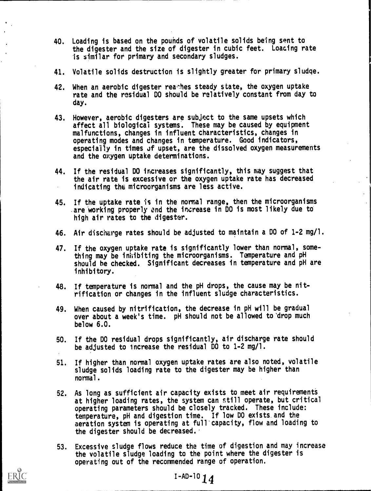- 40. Loading is based on the pounds of volatile solids being sent to the digester and the size of digester in cubic feet. Loading rate is similar for primary and secondary sludges.
- 41. Volatile solids destruction is slightly greater for primary sludge.
- 42. When an aerobic digester reathes steady state, the oxygen uptake rate and the residual DO should be relatively constant from day to day.
- 43. However, aerobic digesters are subject to the same upsets which affect all biological systems. These may be caused by equipment malfunctions, changes in influent characteristics, changes in operating modes and changes in temperature. Good indicators, especially in times of upset, are the dissolved oxygen measurements and the oxygen uptake determinations.
- 44. If the residual DO increases significantly, this may suggest that the air rate is excessive or the oxygen uptake rate has decreased indicating the microorganisms are less active.
- 45. If the uptake rate is in the normal range, then the microorganisms are working properly and the increase in DO is most likely due to high air rates to the digester.
- 46. Air discharge rates should be adjusted to maintain a DO of 1-2 mg/l.
- 47. If the oxygen uptake rate is significantly lower than normal, something may be inhibiting the microorganisms. Temperature and pH should be checked. Significant decreases in temperature and pH are inhibitory.
- 48. If temperature is normal and the pH drops, the cause may be nitrification or changes in the influent sludge characteristics.
- 49. When caused by nitrification, the decrease in pH will be gradual over about a week's time. pH should not be allowed to'drop much below 6.0.
- 50. If the DO residual drops significantly, air discharge rate should be adjusted to increase the residual DO to 1-2 mg/l.
- 51. If higher than normal oxygen uptake rates are also noted, volatile sludge solids loading rate to the digester may be higher than normal.
- 52. As long as sufficient air capacity exists to meet air requirements at higher loading rates, the system can still operate, but critical operating parameters should be closely tracked. These include: temperature, pH and digestion time. If low DO exists and the aeration system is operating at full'capacity, flow and loading to the digester should be decreased.
- 53. Excessive sludge flows reduce the time of digestion and may increase the volatile sludge loading to the point where the digester is operating out of the recommended range of operation.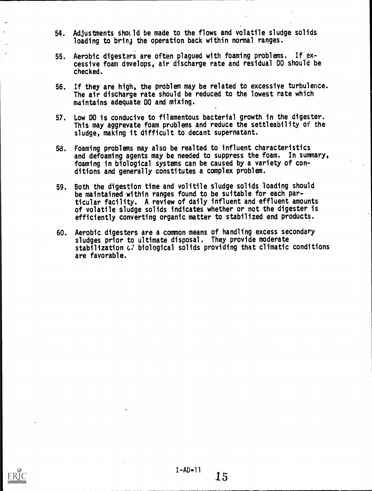- 54. Adjustments showld be made to the flows and volatile sludge solids loading to bring the operation back within normal ranges.
- 55. Aerobic digesters are often plagued with foaming problems. If ,excessive foam develops, air discharge rate and residual DO should be checked.
- 56. If they are high, the problem may be related to excessive turbulence. The air discharge rate should be reduced to the lowest rate which maintains adequate DO and mixing.
- 57. Low DO is conducive to filamentous bacterial growth in the digester. This may aggrevate foam problems and reduce the settleability of the sludge, making it difficult to decant supernatant.
- 58. Foaming problems may also be realted to influent characteristics and defoaming agents may be needed to suppress the foam. In summary, foaming in biological systems can be caused by a variety of conditions and generally constitutes a complex problem.
- 59. Both the digestion time and volitile sludge solids loading should be maintained within ranges found to be suitable for each particular facility. A review of daily influent and effluent amounts of volatile sludge solids indicates whether or not the digester is efficiently converting organic matter to stabilized end products.
- 60. Aerobic digesters are a common means of handling excess secondary sludges prior to ultimate disposal. They provide moderate stabilization  $G$  biological solids providing that climatic conditions are favorable.

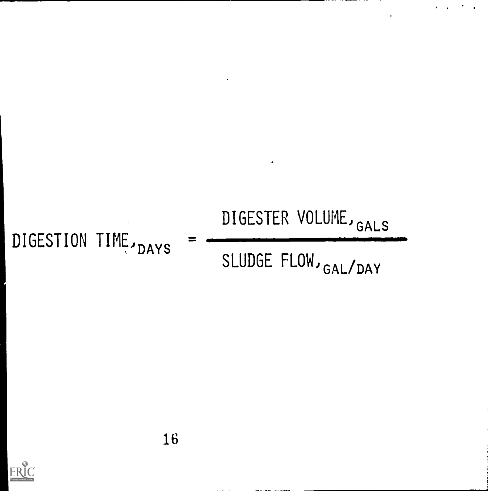

DIGESTION TIME, DAYS

DIGESTER VOLUME, GALS

 $\mathbf{y}^{\top}$ 

SLUDGE FLOW, GAL/DAY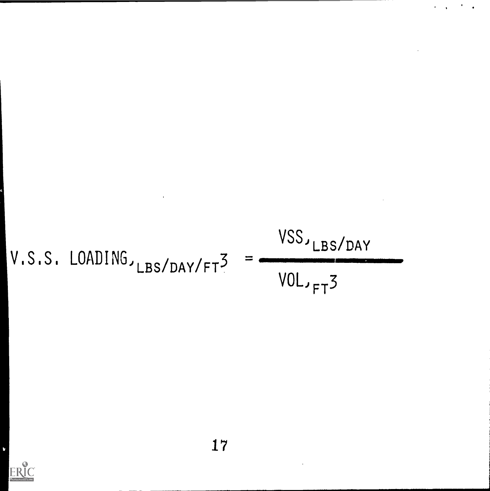$$
V.S.S. LOADING_{JLBS/DAY/FT}^3 = \frac{VSS_{JLBS/DAY}}{VOL_{JFT}^3}
$$

 $\hat{\mathcal{A}}$ 

 $\mathbf{v} = \mathbf{v} \times \mathbf{v}$  . The  $\mathbf{v}$ 

 $\ddot{\phantom{a}}$ 



Ù,

 $\bar{ }$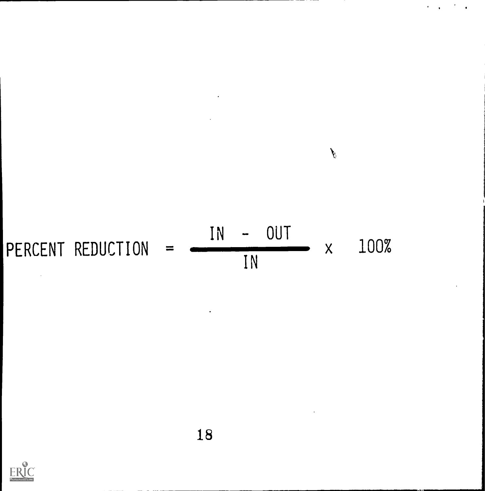

 $\mathcal{A}^{\mathcal{A}}$  .

 $\ddot{\phantom{a}}$  $\ddot{\phantom{a}}$ 

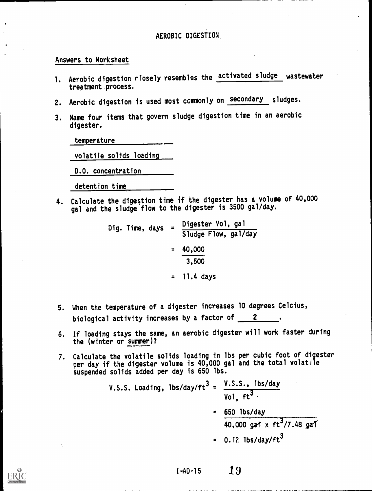#### Answers to Worksheet

- 1. Aerobic digestion closely resembles the activated sludge wastewater treatment process.
- 2. Aerobic digestion is used most commonly on secondary sludges.
- 3. Name four items that govern sludge digestion time in an aerobic digester.

temperature

volatile solids loading

D.O. concentration

detention time

4. Calculate the digestion time if the digester has a volume of 40,000 gal and the sludge flow to the digester is 3500 gal/day.

> Dig. Time, days = Digester Vol, gal Sludge Flow, gal/day  $= 40,000$ 3,500 = 11.4 days

- 5. When the temperature of a digester increases 10 degrees Celcius, biological activity increases by a factor of  $\frac{2}{\sqrt{2}}$
- 6. If loading stays the same, an aerobic digester will work faster during the (winter or summer)?
- 7. Calculate the volatile solids loading in lbs per cubic foot of digester per day if the digester volume is 40,000 gal and the total volatile suspended solids added per day is 650 lbs.

I-AD-15

V.S.S. Loading, lbs/day/ft<sup>3</sup> = 
$$
\frac{V.S.S.S., lbs/day}{Vol, ft^{3}}
$$
  
=  $\frac{650 \text{ lbs/day}}{40,000 \text{ gat} \times ft^{3}/7.48 \text{ gat}}$   
= 0.12 lbs/day/ft<sup>3</sup>

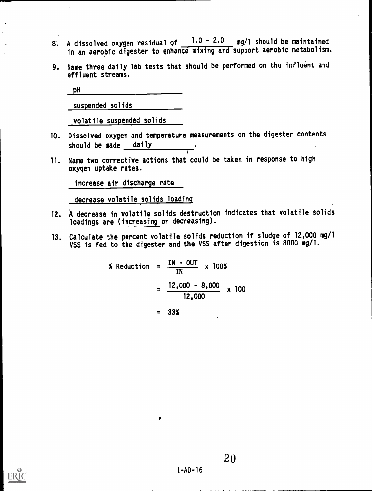- 8. A dissolved oxygen residual of  $1.0 2.0$  mg/l should be maintained in an aerobic digester to enhance mixing and support aerobic metabolism.
- 9. Name three daily lab tests that should be performed on the influent and effluent streams.

pH

suspended solids

volatile suspended solids

- 10. Dissolved oxygen and temperature measurements on the digester contents should be made daily
- 11. Name two corrective actions that could be taken in response to high oxygen uptake rates.

increase air discharge rate

decrease volatile solids loading

- 12. A decrease in volatile solids destruction indicates that volatile solids loadings are (increasing or decreasing).
- 13. Calculate the percent volatile solids reduction if sludge of 12,000 mg/1 VSS is fed to the digester and the VSS after digestion is 8000 mg/l.

$$
\begin{array}{rcl}\n\text{\text{\texttt{\texttt{\textbf{X}}}}\ \text{Reduction} &=& \frac{\text{IN} - \text{OUT}}{\text{IN}} \times 100\text{\text{\texttt{X}}}} \\
&=& \frac{12,000 - 8,000}{12,000} \times 100\n\end{array}
$$

 $= 33%$ 

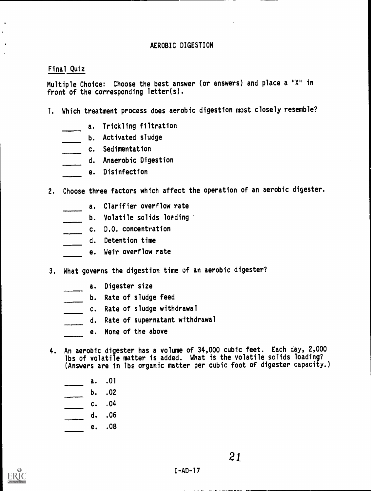#### Final Quiz

Multiple Choice: Choose the best answer (or answers) and place a "X" in front of the corresponding letter(s).

- 1. Which treatment process does aerobic digestion most closely resemble?
	- a. Trickling filtration
	- b. Activated sludge
	- c. Sedimentation
		- d. Anaerobic Digestion
	- e. Disinfection
- 2. Choose three factors which affect the operation of an aerobic digester.
	- a. Clarifier overflow rate
	- b. Volatile solids loading
	- c. D.O. concentration
	- d. Detention time
		- e. Weir overflow rate
- 3. What governs the digestion time of an aerobic digester?
	- a. Digester size
	- b. Rate of sludge feed
	- c. Rate of sludge withdrawal
	- d. Rate of supernatant withdrawal
	- e. None of the above
- 4. An aerobic digester has a volume of 34,000 cubic feet. Each day, 2,000 lbs of volatile matter is added. What is the volatile solids loading? (Answers are in lbs organic matter per cubic foot of digester capacity.)
	-
	- $\frac{a. 01}{b. 02}$ b. .02
	- c. .04
	- d. .06
	- e. .08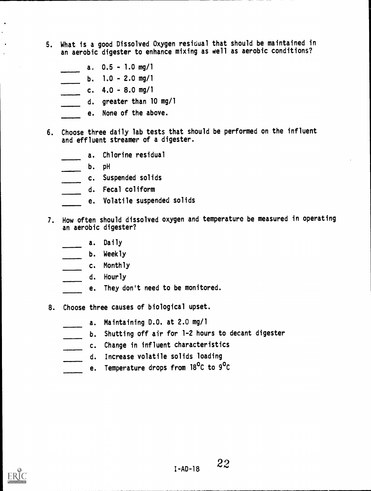- 5. What is a good Dissolved Oxygen residual that should be maintained in an aerobic digester to enhance mixing as well as aerobic conditions?
	- a. 0.5 1.0 mg/1
	- b.  $1.0 2.0$  mg/1
	- c. 4.0 8.0 mg/1
	- d. greater than 10 mg/1
	- e. None of the above.
- 6. Choose three daily lab tests that should be performed on the influent and effluent streamer of a digester.
	- a. Chlorine residual
	- b. pH
	- c. Suspended solids
	- d. Fecal coliform
		- e. Volatile suspended solids
- 7. How often should dissolved oxygen and temperature be measured in operating an aerobic digester?
	- a. Daily
	- b. Weekly
	- c. Monthly
	- d. Hourly
	- e. They don't need to be monitored.
- 8. Choose three causes of biological upset.
	- a. Maintaining D.O. at 2.0 mg/1
	- b. Shutting off air for 1-2 hours to decant digester
	- c. Change in influent characteristics
	- d. Increase volatile solids loading  $\overline{\phantom{a}}$
	- e. Temperature drops from 18<sup>o</sup>C to 9<sup>o</sup>C

 $\bullet$  $\overline{a}$ 

 $\bullet$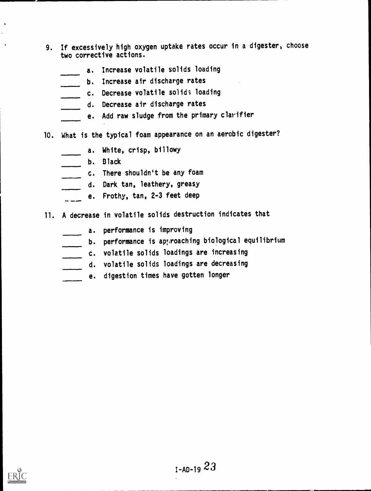- 9. If excessively high oxygen uptake rates occur in a digester, choose two corrective actions.
	- a. Increase volatile solids loading
	- b. Increase air discharge rates
	- c. Decrease volatile solids loading
	- d. Decrease air discharge rates
	- e. Add raw sludge from the primary clarifier
- 10. What is the typical foam appearance on an aerobic digester?
	- a. White, crisp, billowy
	- b. Black
	- c. There shouldn't be any foam
	- d. Dark tan, leathery, greasy
	- e. Frothy, tan, 2-3 feet deep
- 11. A decrease in volatile solids destruction indicates that
	- a. performance is improving
	- b. performance is apyroaching biological equilibrium
	- c. volatile solids loadings are increasing
	- d. volatile solids loadings are decreasing
	- e. digestion times have gotten longer

 $\bullet$ 

 $\ddot{\phantom{1}}$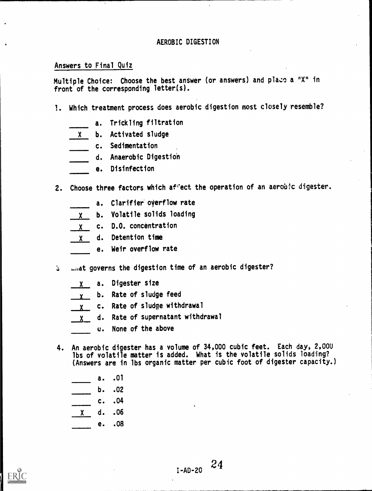#### Answers to Final Quiz

Multiple Choice: Choose the best answer (or answers) and plazc a "X" in front of the corresponding letter(s).

- 1. Which treatment process does aerobic digestion most closely resemble?
	- a. Trickling filtration
	- X b. Activated sludge
	- c. Sedimentation
	- d. Anaerobic Digestion
	- e. Disinfection
- 2. Choose three factors which aftect the operation of an aerobic digester.
	- a. Clarifier overflow rate
	- <sup>X</sup> b. Volatile solids loading
	- $X$  c. D.O. concentration
	- <sup>X</sup> d. Detention time
	- e. Weir overflow rate
- what governs the digestion time of an aerobic digester?  $5^{\circ}$ 
	- X a. Digester size
	- y b. Rate of sludge feed
	- x c. Rate of sludge withdrawal
	- d. Rate of supernatant withdrawal  $\mathsf{X}$ 
		- u. None of the above
- 4. An aerobic digester has a volume of 34,000 cubic feet. Each day, 2,000 lbs of volatile matter is added. What is the volatile solids loading? (Answers are in lbs organic matter per cubic foot of digester capacity.)
	- a. .01
	- b. .02
	- c. .04
	- X d. .06
	- e. .08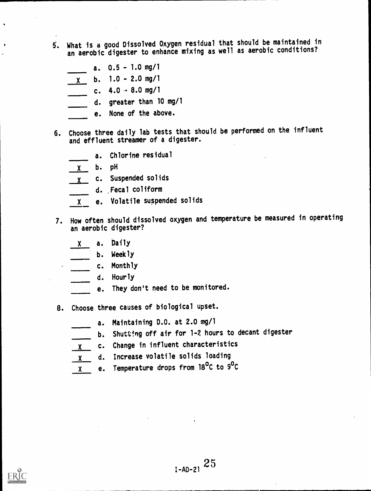- 5. What is d good Dissolved Oxygen residual that should be maintained in an aerobic digester to enhance mixing as well as aerobic conditions?
	- a. 0.5 1.0 mg/1
	- $x = 1.0 2.0$  mg/1
	- c. 4.0 8.0 mg/1
	- d. greater than 10 mg/1
	- e. None of the above.
- 6. Choose three daily lab tests that should be performed on the influent and effluent streamer of a digester.
	- a. Chlorine residual
	- X b. pH
	- x c. Suspended solids
		- d. ,Fecal coliform
	- X e. Volatile suspended solids
- 7. How often should dissolved oxygen and temperature be measured in operating an aerobic digester?
	- a. Daily
	- b. Weekly
	- c. Monthly
		- d. Hourly
		- e. They don't need to be monitored.
- 8. Choose three causes of biological upset.
	- a. Maintaining D.O. at 2.0 mg/1
	- b. Shutting off air for 1-2 hours to decant digester
	- <sup>X</sup> c. Change in influent characteristics
	- <sup>X</sup> d. Increase volatile solids loading
	- <sup>X</sup> e. Temperature drops from 18°C to 9°C

 $\bullet$ 

 $\bullet$